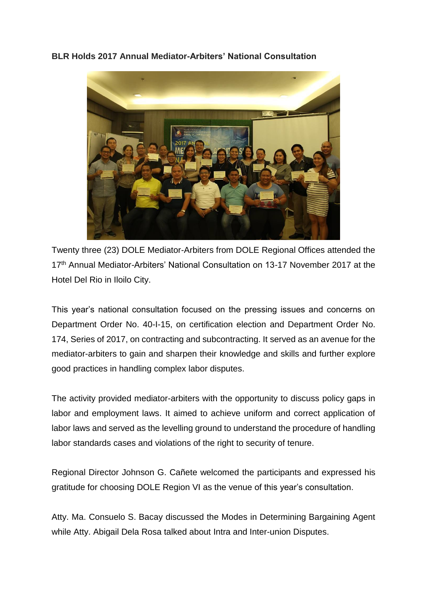**BLR Holds 2017 Annual Mediator-Arbiters' National Consultation**



Twenty three (23) DOLE Mediator-Arbiters from DOLE Regional Offices attended the 17<sup>th</sup> Annual Mediator-Arbiters' National Consultation on 13-17 November 2017 at the Hotel Del Rio in Iloilo City.

This year's national consultation focused on the pressing issues and concerns on Department Order No. 40-I-15, on certification election and Department Order No. 174, Series of 2017, on contracting and subcontracting. It served as an avenue for the mediator-arbiters to gain and sharpen their knowledge and skills and further explore good practices in handling complex labor disputes.

The activity provided mediator-arbiters with the opportunity to discuss policy gaps in labor and employment laws. It aimed to achieve uniform and correct application of labor laws and served as the levelling ground to understand the procedure of handling labor standards cases and violations of the right to security of tenure.

Regional Director Johnson G. Cañete welcomed the participants and expressed his gratitude for choosing DOLE Region VI as the venue of this year's consultation.

Atty. Ma. Consuelo S. Bacay discussed the Modes in Determining Bargaining Agent while Atty. Abigail Dela Rosa talked about Intra and Inter-union Disputes.